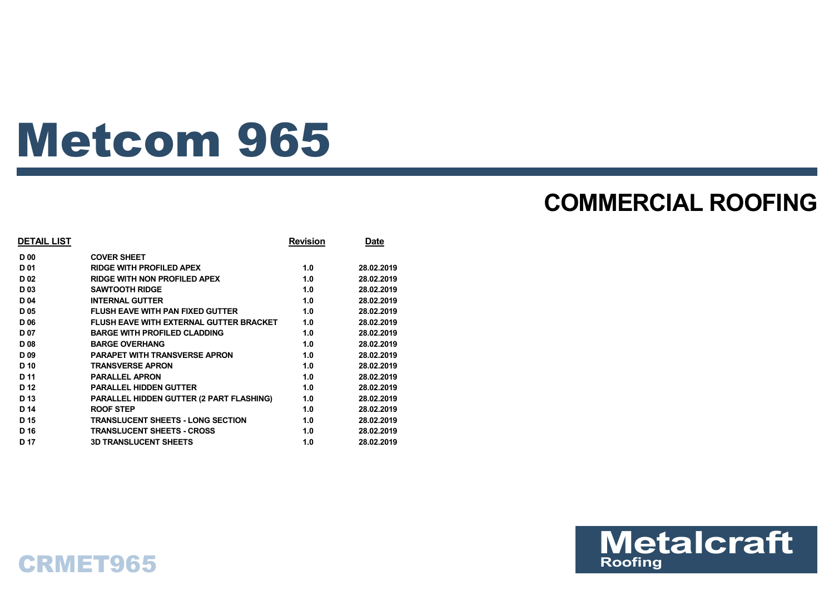# Metcom 965

## **COMMERCIAL ROOFING**

| <b>DETAIL LIST</b> |                                                 | <b>Revision</b> | Date       |
|--------------------|-------------------------------------------------|-----------------|------------|
| <b>D00</b>         | <b>COVER SHEET</b>                              |                 |            |
| D <sub>01</sub>    | <b>RIDGE WITH PROFILED APEX</b>                 | 1.0             | 28.02.2019 |
| D <sub>02</sub>    | <b>RIDGE WITH NON PROFILED APEX</b>             | 1.0             | 28.02.2019 |
| D <sub>03</sub>    | <b>SAWTOOTH RIDGE</b>                           | 1.0             | 28.02.2019 |
| D <sub>04</sub>    | <b>INTERNAL GUTTER</b>                          | 1.0             | 28.02.2019 |
| D <sub>05</sub>    | <b>FLUSH EAVE WITH PAN FIXED GUTTER</b>         | 1.0             | 28.02.2019 |
| D 06               | <b>FLUSH EAVE WITH EXTERNAL GUTTER BRACKET</b>  | 1.0             | 28.02.2019 |
| <b>D07</b>         | <b>BARGE WITH PROFILED CLADDING</b>             | 1.0             | 28.02.2019 |
| D <sub>08</sub>    | <b>BARGE OVERHANG</b>                           | 1.0             | 28.02.2019 |
| D <sub>09</sub>    | <b>PARAPET WITH TRANSVERSE APRON</b>            | 1.0             | 28.02.2019 |
| D <sub>10</sub>    | <b>TRANSVERSE APRON</b>                         | 1.0             | 28.02.2019 |
| D 11               | <b>PARALLEL APRON</b>                           | 1.0             | 28.02.2019 |
| D <sub>12</sub>    | <b>PARALLEL HIDDEN GUTTER</b>                   | 1.0             | 28.02.2019 |
| D <sub>13</sub>    | <b>PARALLEL HIDDEN GUTTER (2 PART FLASHING)</b> | 1.0             | 28.02.2019 |
| D 14               | ROOF STEP                                       | 1.0             | 28.02.2019 |
| D <sub>15</sub>    | TRANSLUCENT SHEETS - LONG SECTION               | 1.0             | 28.02.2019 |
| D <sub>16</sub>    | <b>TRANSLUCENT SHEETS - CROSS</b>               | 1.0             | 28.02.2019 |
| D 17               | <b>3D TRANSLUCENT SHEETS</b>                    | 1.0             | 28.02.2019 |
|                    |                                                 |                 |            |



### CRMET965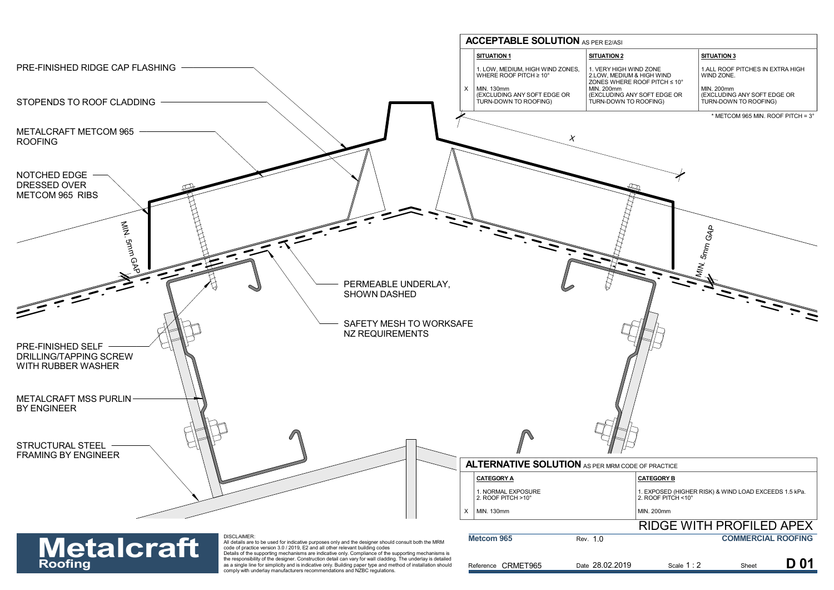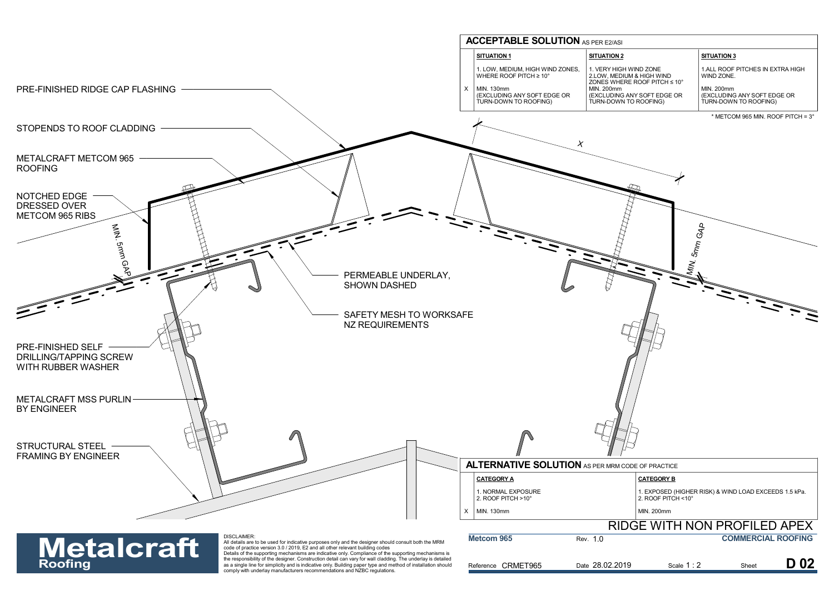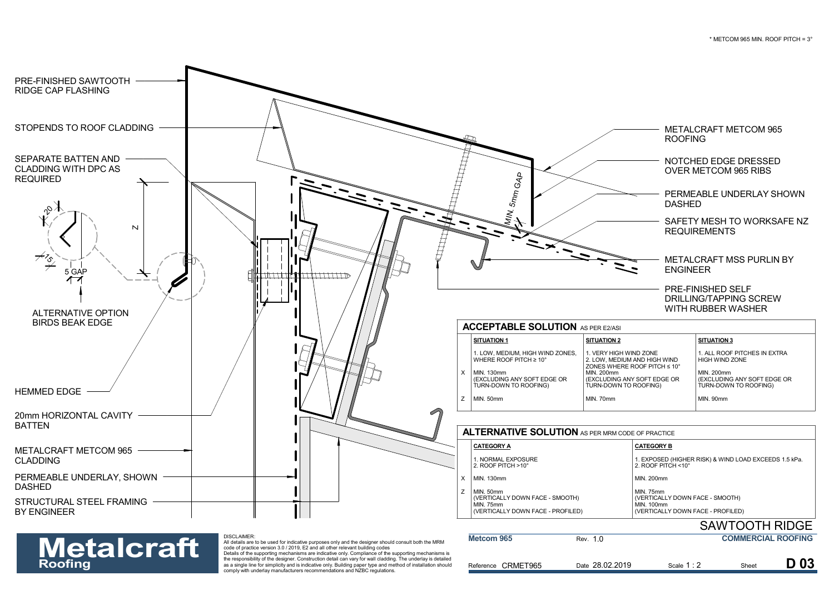

### All details are to be used for indicative purposes only and the designer should consult both the MRM<br>code of practice version 3.0 / 2019, E2 and all other relevant building codes<br>Details of the supporting mechanisms are in **Metalcraft**

| <b>Metalcraft</b> | <b>DISCLAIMER:</b><br>All details are to be used for indicative purposes only and the designer should consult both the MRM<br>code of practice version 3.0 / 2019. E2 and all other relevant building codes                                                                                                                                                                                                       | Metcom 965         | Rev. 1.0        |           | <b>COMMERCIAL ROOFING</b> |                 |
|-------------------|-------------------------------------------------------------------------------------------------------------------------------------------------------------------------------------------------------------------------------------------------------------------------------------------------------------------------------------------------------------------------------------------------------------------|--------------------|-----------------|-----------|---------------------------|-----------------|
| <b>Roofing</b>    | Details of the supporting mechanisms are indicative only. Compliance of the supporting mechanisms is<br>the responsibility of the designer. Construction detail can vary for wall cladding. The underlay is detailed<br>as a single line for simplicity and is indicative only. Building paper type and method of installation should<br>comply with underlay manufacturers recommendations and NZBC regulations. | Reference CRMET965 | Date 28.02.2019 | Scale 1:2 | Shee                      | D <sub>03</sub> |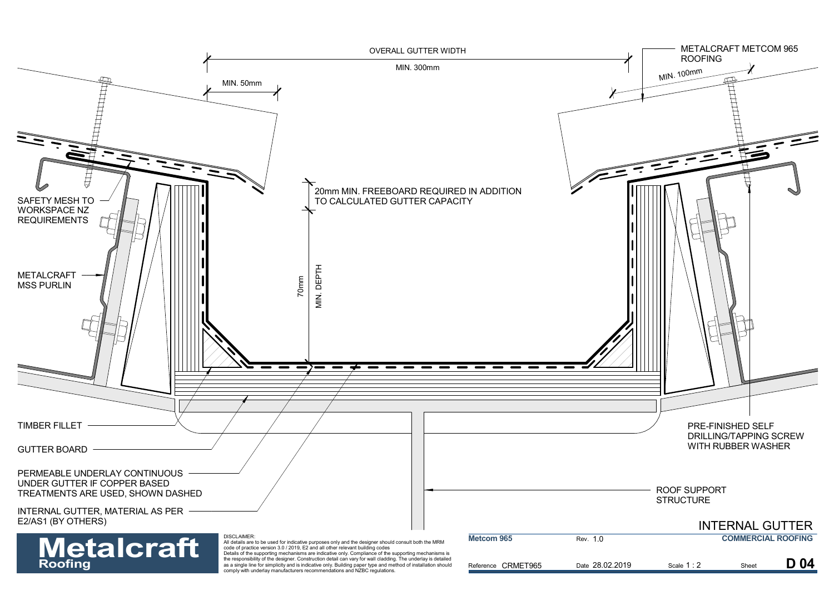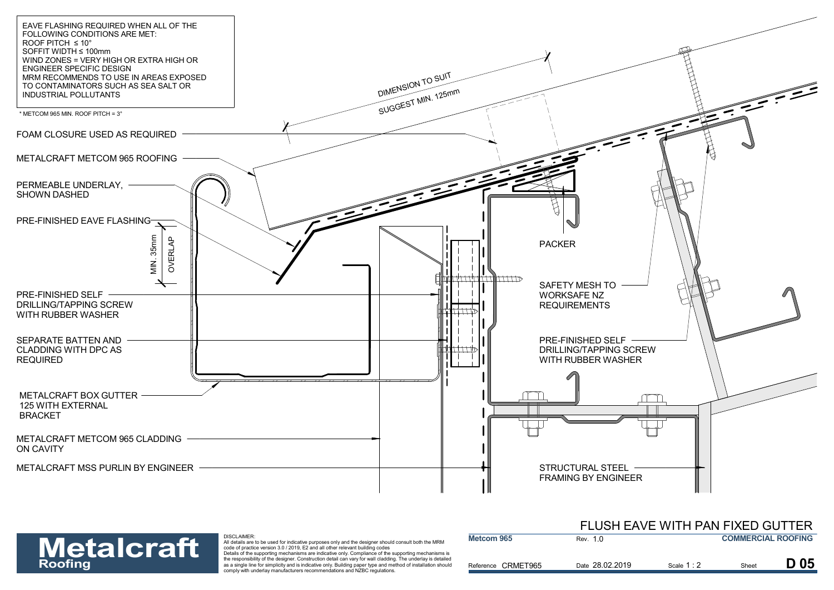

## **Metalcraft**

| <b>Metalcraft</b> | DISCLAIMER:<br>All details are to be used for indicative purposes only and the designer should consult both the MRM<br>code of practice version 3.0 / 2019. E2 and all other relevant building codes                                                                                                                                                                                                              | <b>Metcom 965</b>  | Rev. 1.0        |             | <b>COMMERCIAL ROOFING</b> |                 |
|-------------------|-------------------------------------------------------------------------------------------------------------------------------------------------------------------------------------------------------------------------------------------------------------------------------------------------------------------------------------------------------------------------------------------------------------------|--------------------|-----------------|-------------|---------------------------|-----------------|
| <b>Roofing</b>    | Details of the supporting mechanisms are indicative only. Compliance of the supporting mechanisms is<br>the responsibility of the designer. Construction detail can vary for wall cladding. The underlay is detailed<br>as a single line for simplicity and is indicative only. Building paper type and method of installation should<br>comply with underlay manufacturers recommendations and NZBC regulations. | Reference CRMET965 | Date 28.02.2019 | Scale $1:2$ | Sheet                     | D <sub>05</sub> |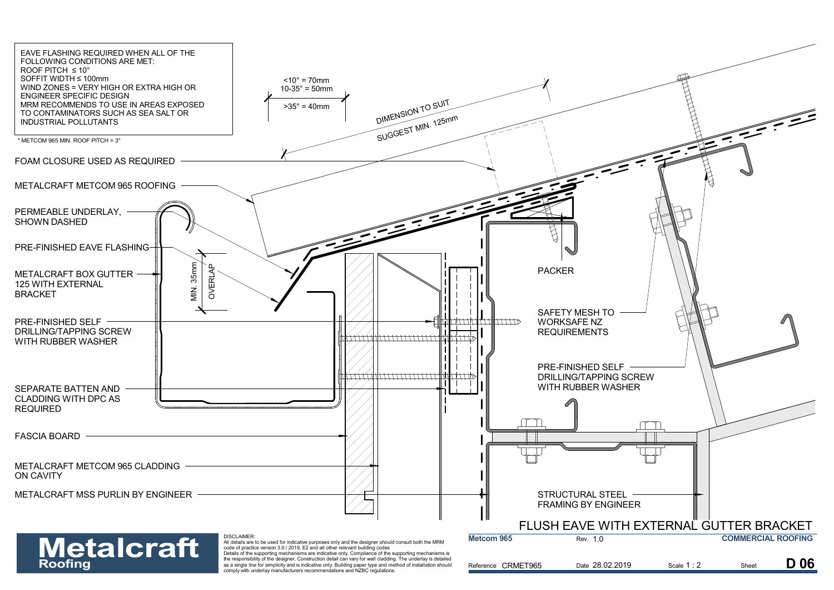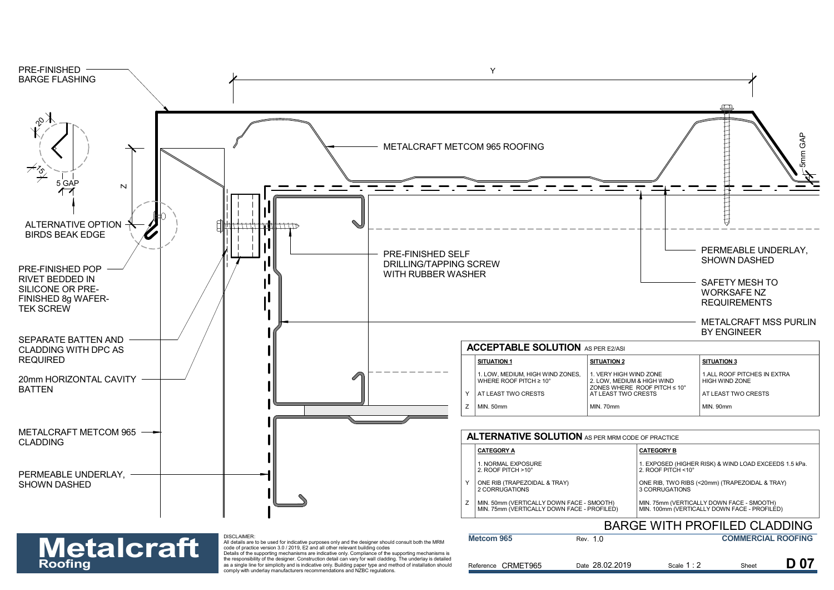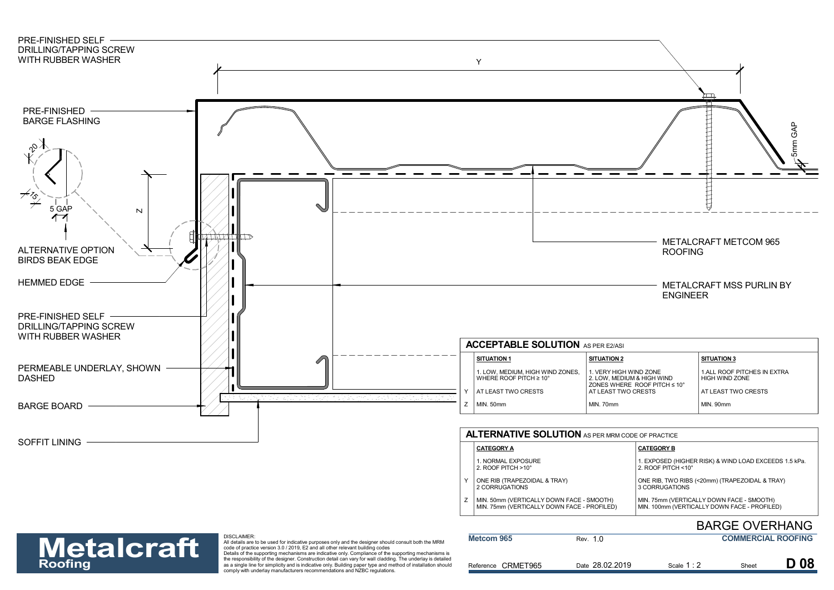

| 1. NORMAL EXPOSURE<br>2. ROOF PITCH $>10^{\circ}$                                        | 1. EXPOSED (HIGHER RISK) & WIND LOAD EXCEEDS 1.5 kPa<br>2. ROOF PITCH $<$ 10 $^{\circ}$   |
|------------------------------------------------------------------------------------------|-------------------------------------------------------------------------------------------|
| ONE RIB (TRAPEZOIDAL & TRAY)<br>2 CORRUGATIONS                                           | ONE RIB, TWO RIBS (<20mm) (TRAPEZOIDAL & TRAY)<br>3 CORRUGATIONS                          |
| MIN. 50mm (VERTICALLY DOWN FACE - SMOOTH)<br>MIN. 75mm (VERTICALLY DOWN FACE - PROFILED) | MIN. 75mm (VERTICALLY DOWN FACE - SMOOTH)<br>MIN. 100mm (VERTICALLY DOWN FACE - PROFILED) |

### BARGE OVERHANG

### DISCLAIMER:

| <b>Metalcraft</b> | <b>DISCLAIMER:</b><br>All details are to be used for indicative purposes only and the designer should consult both the MRM<br>code of practice version 3.0 / 2019. E2 and all other relevant building codes                                                                                                                                                                                                       | Metcom 965         | Rev. 1.0        |           | <b>COMMERCIAL ROOFING</b> |            |
|-------------------|-------------------------------------------------------------------------------------------------------------------------------------------------------------------------------------------------------------------------------------------------------------------------------------------------------------------------------------------------------------------------------------------------------------------|--------------------|-----------------|-----------|---------------------------|------------|
| <b>Roofing</b>    | Details of the supporting mechanisms are indicative only. Compliance of the supporting mechanisms is<br>the responsibility of the designer. Construction detail can vary for wall cladding. The underlay is detailed<br>as a single line for simplicity and is indicative only. Building paper type and method of installation should<br>comply with underlay manufacturers recommendations and NZBC regulations. | Reference CRMET965 | Date 28.02.2019 | Scale 1:2 | <b>Shee</b>               | <b>D08</b> |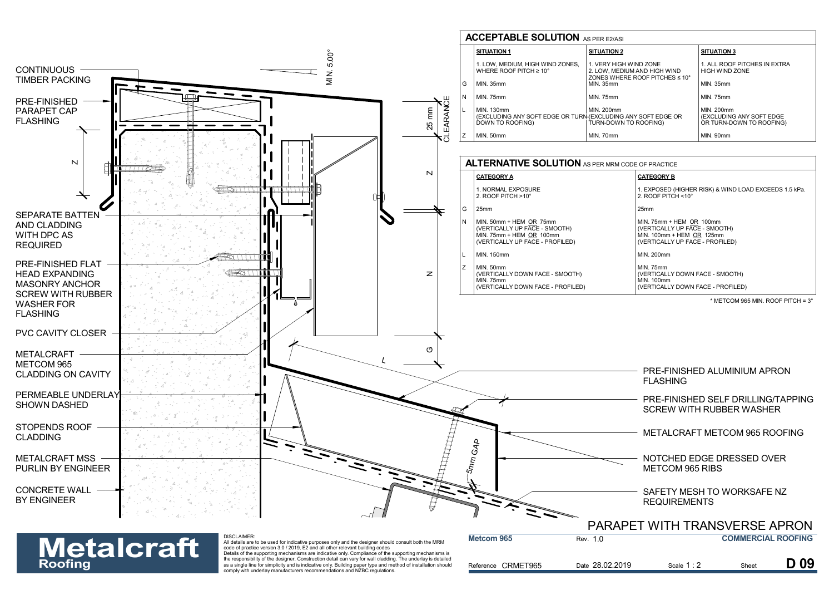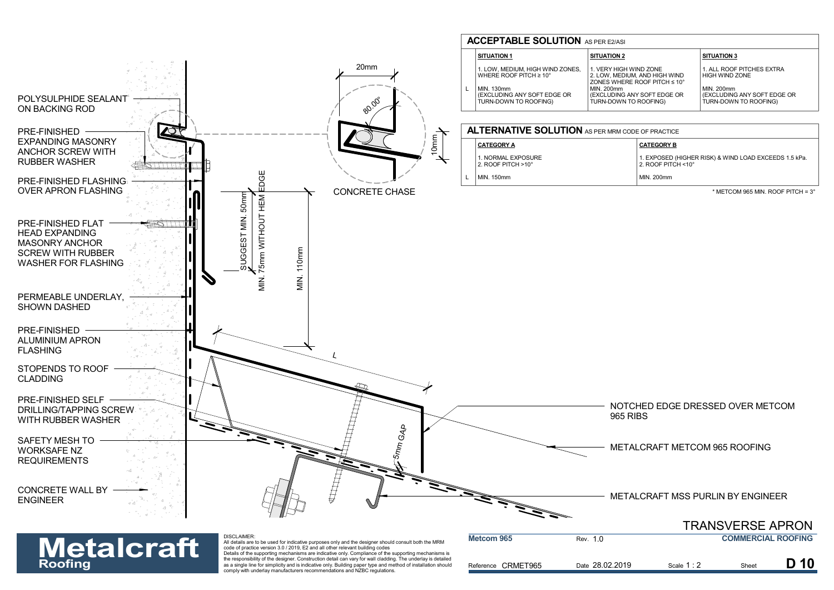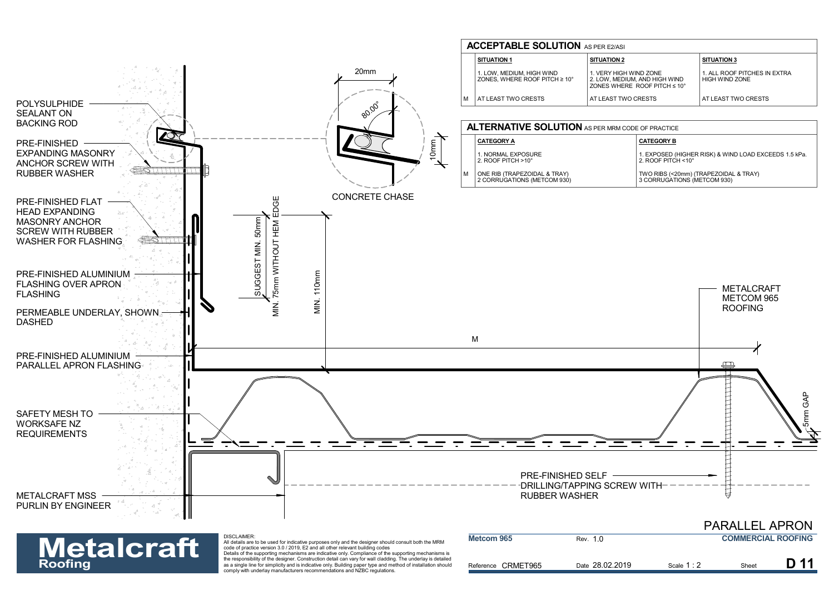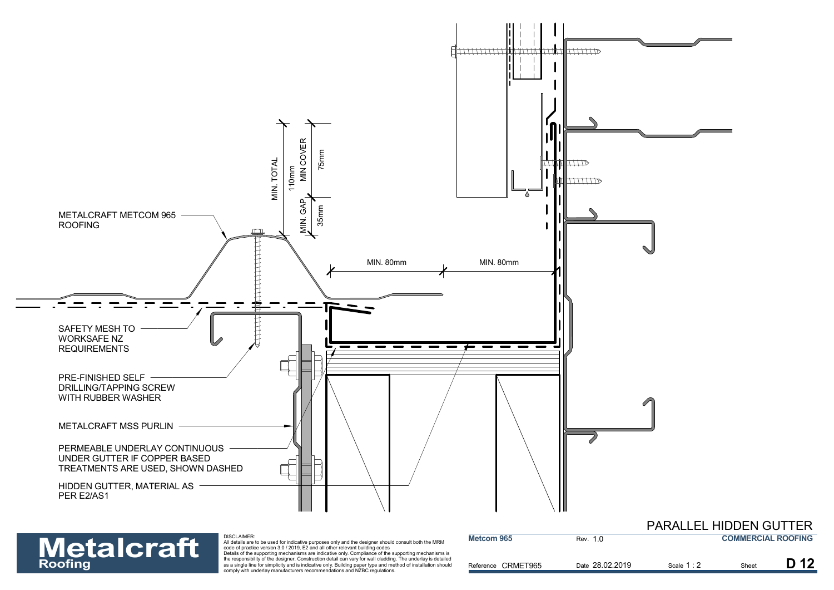

# **Metalcraft**

| <b>Metalcraft</b> | DISCLAIMER:<br>All details are to be used for indicative purposes only and the designer should consult both the MRM<br>code of practice version 3.0 / 2019. E2 and all other relevant building codes                                                                                                                                                                                                              | Metcom 965         | Rev. 1.0        |          | <b>COMMERCIAL ROOFING</b> |  |
|-------------------|-------------------------------------------------------------------------------------------------------------------------------------------------------------------------------------------------------------------------------------------------------------------------------------------------------------------------------------------------------------------------------------------------------------------|--------------------|-----------------|----------|---------------------------|--|
| <b>Roofing</b>    | Details of the supporting mechanisms are indicative only. Compliance of the supporting mechanisms is<br>the responsibility of the designer. Construction detail can vary for wall cladding. The underlay is detailed<br>as a single line for simplicity and is indicative only. Building paper type and method of installation should<br>comply with underlay manufacturers recommendations and NZBC regulations. | Reference CRMET965 | Date 28.02.2019 | Scale 1: | <b>Shee</b>               |  |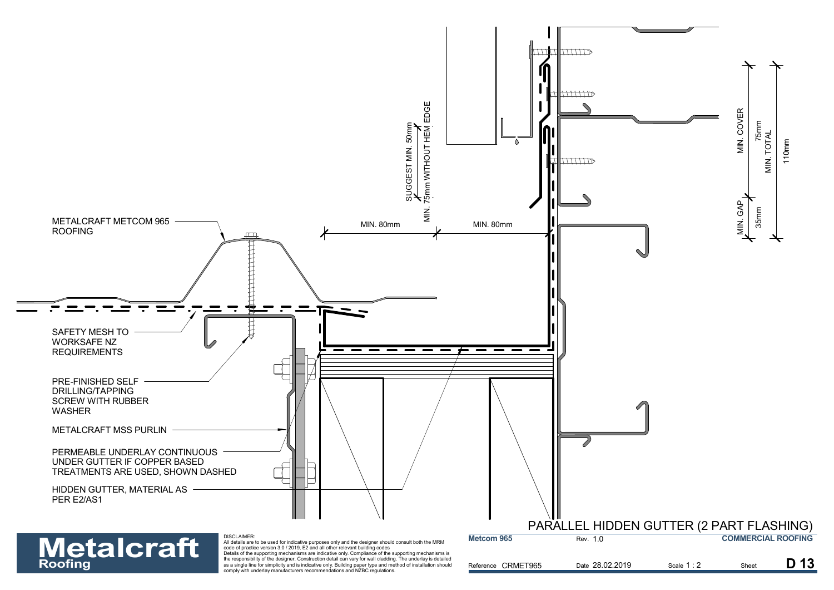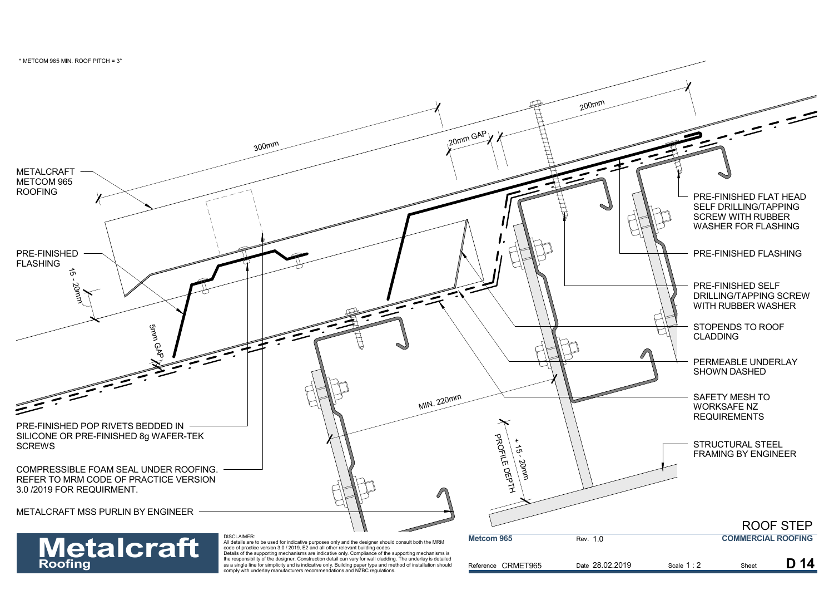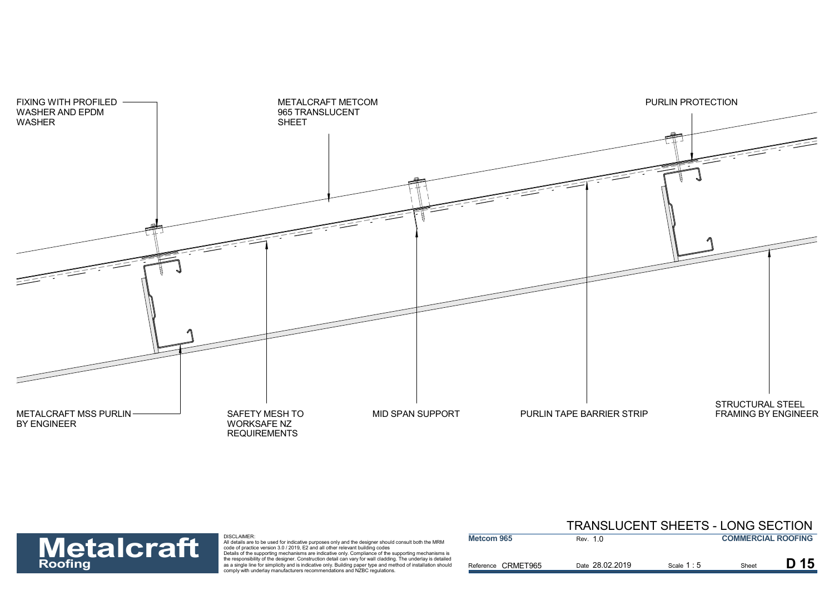



|                   |                                                                                                                                                                                                                                                                                                              |                    | TRANSLUCENT SHEETS - LONG SECTION |             |                           |  |
|-------------------|--------------------------------------------------------------------------------------------------------------------------------------------------------------------------------------------------------------------------------------------------------------------------------------------------------------|--------------------|-----------------------------------|-------------|---------------------------|--|
| <b>Metalcraft</b> | DISCLAIMER:<br>All details are to be used for indicative purposes only and the designer should consult both the MRM<br>code of practice version 3.0 / 2019, E2 and all other relevant building codes<br>Details of the supporting mechanisms are indicative only. Compliance of the supporting mechanisms is | <b>Metcom 965</b>  | Rev. 1.0                          |             | <b>COMMERCIAL ROOFING</b> |  |
| <b>Roofing</b>    | the responsibility of the designer. Construction detail can vary for wall cladding. The underlay is detailed<br>as a single line for simplicity and is indicative only. Building paper type and method of installation should<br>comply with underlay manufacturers recommendations and NZBC regulations.    | Reference CRMET965 | Date 28.02.2019                   | Scale $1:5$ | Shee                      |  |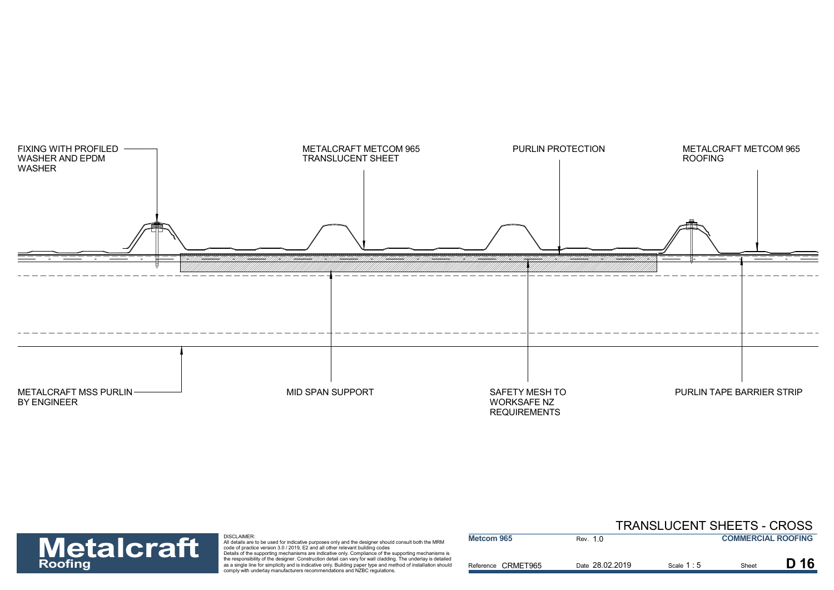



| <b>Metalcraft</b> | DISCLAIMER:<br>All details are to be used for indicative purposes only and the designer should consult both the MRM<br>code of practice version 3.0 / 2019. E2 and all other relevant building codes                                                                                                                                                                                                              | Metcom 965         | Rev. 1.0        |           | <b>COMMERCIAL ROOFING</b> |      |
|-------------------|-------------------------------------------------------------------------------------------------------------------------------------------------------------------------------------------------------------------------------------------------------------------------------------------------------------------------------------------------------------------------------------------------------------------|--------------------|-----------------|-----------|---------------------------|------|
| <b>Roofing</b>    | Details of the supporting mechanisms are indicative only. Compliance of the supporting mechanisms is<br>the responsibility of the designer. Construction detail can vary for wall cladding. The underlay is detailed<br>as a single line for simplicity and is indicative only. Building paper type and method of installation should<br>comply with underlay manufacturers recommendations and NZBC regulations. | Reference CRMET965 | Date 28.02.2019 | Scale 1:5 | Sheet                     | D 16 |

### TRANSLUCENT SHEETS - CROSS